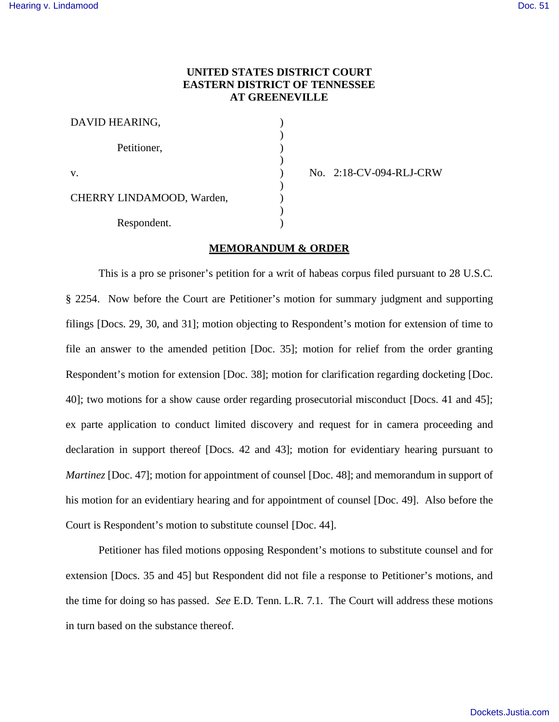# **UNITED STATES DISTRICT COURT EASTERN DISTRICT OF TENNESSEE AT GREENEVILLE**

| DAVID HEARING,            |  |
|---------------------------|--|
| Petitioner,               |  |
| V.                        |  |
| CHERRY LINDAMOOD, Warden, |  |
| Respondent.               |  |

No. 2:18-CV-094-RLJ-CRW

## **MEMORANDUM & ORDER**

This is a pro se prisoner's petition for a writ of habeas corpus filed pursuant to 28 U.S.C. § 2254. Now before the Court are Petitioner's motion for summary judgment and supporting filings [Docs. 29, 30, and 31]; motion objecting to Respondent's motion for extension of time to file an answer to the amended petition [Doc. 35]; motion for relief from the order granting Respondent's motion for extension [Doc. 38]; motion for clarification regarding docketing [Doc. 40]; two motions for a show cause order regarding prosecutorial misconduct [Docs. 41 and 45]; ex parte application to conduct limited discovery and request for in camera proceeding and declaration in support thereof [Docs. 42 and 43]; motion for evidentiary hearing pursuant to *Martinez* [Doc. 47]; motion for appointment of counsel [Doc. 48]; and memorandum in support of his motion for an evidentiary hearing and for appointment of counsel [Doc. 49]. Also before the Court is Respondent's motion to substitute counsel [Doc. 44].

Petitioner has filed motions opposing Respondent's motions to substitute counsel and for extension [Docs. 35 and 45] but Respondent did not file a response to Petitioner's motions, and the time for doing so has passed. *See* E.D. Tenn. L.R. 7.1. The Court will address these motions in turn based on the substance thereof.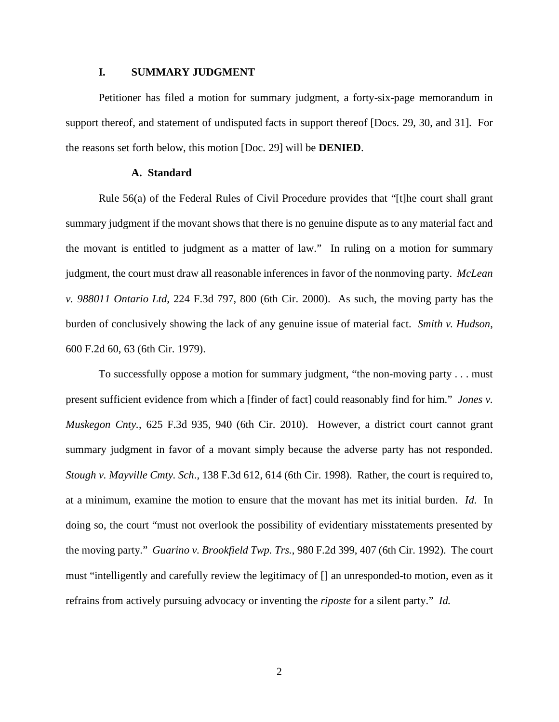# **I. SUMMARY JUDGMENT**

Petitioner has filed a motion for summary judgment, a forty-six-page memorandum in support thereof, and statement of undisputed facts in support thereof [Docs. 29, 30, and 31]. For the reasons set forth below, this motion [Doc. 29] will be **DENIED**.

# **A. Standard**

Rule 56(a) of the Federal Rules of Civil Procedure provides that "[t]he court shall grant summary judgment if the movant shows that there is no genuine dispute as to any material fact and the movant is entitled to judgment as a matter of law." In ruling on a motion for summary judgment, the court must draw all reasonable inferences in favor of the nonmoving party. *McLean v. 988011 Ontario Ltd*, 224 F.3d 797, 800 (6th Cir. 2000). As such, the moving party has the burden of conclusively showing the lack of any genuine issue of material fact. *Smith v. Hudson*, 600 F.2d 60, 63 (6th Cir. 1979).

To successfully oppose a motion for summary judgment, "the non-moving party . . . must present sufficient evidence from which a [finder of fact] could reasonably find for him." *Jones v. Muskegon Cnty.*, 625 F.3d 935, 940 (6th Cir. 2010). However, a district court cannot grant summary judgment in favor of a movant simply because the adverse party has not responded. *Stough v. Mayville Cmty. Sch*., 138 F.3d 612, 614 (6th Cir. 1998). Rather, the court is required to, at a minimum, examine the motion to ensure that the movant has met its initial burden. *Id*. In doing so, the court "must not overlook the possibility of evidentiary misstatements presented by the moving party." *Guarino v. Brookfield Twp. Trs.*, 980 F.2d 399, 407 (6th Cir. 1992). The court must "intelligently and carefully review the legitimacy of [] an unresponded-to motion, even as it refrains from actively pursuing advocacy or inventing the *riposte* for a silent party." *Id.*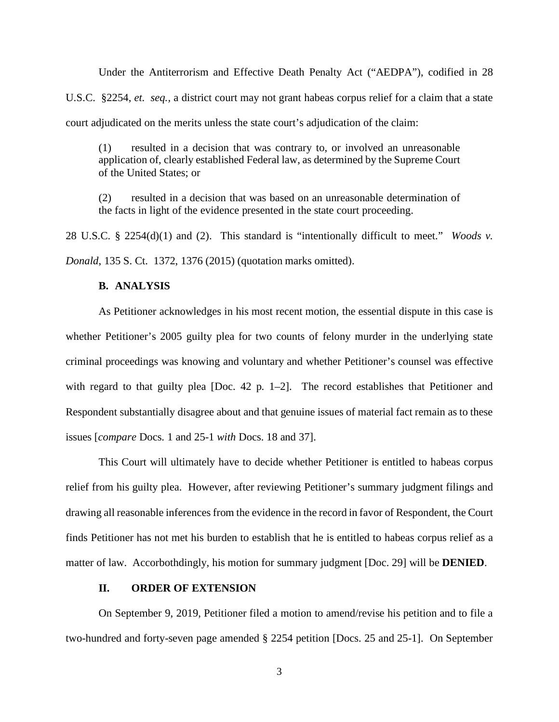Under the Antiterrorism and Effective Death Penalty Act ("AEDPA"), codified in 28 U.S.C. §2254, *et. seq.,* a district court may not grant habeas corpus relief for a claim that a state court adjudicated on the merits unless the state court's adjudication of the claim:

(1) resulted in a decision that was contrary to, or involved an unreasonable application of, clearly established Federal law, as determined by the Supreme Court of the United States; or

(2) resulted in a decision that was based on an unreasonable determination of the facts in light of the evidence presented in the state court proceeding.

28 U.S.C. § 2254(d)(1) and (2). This standard is "intentionally difficult to meet." *Woods v. Donald*, 135 S. Ct. 1372, 1376 (2015) (quotation marks omitted).

# **B. ANALYSIS**

As Petitioner acknowledges in his most recent motion, the essential dispute in this case is whether Petitioner's 2005 guilty plea for two counts of felony murder in the underlying state criminal proceedings was knowing and voluntary and whether Petitioner's counsel was effective with regard to that guilty plea [Doc. 42 p. 1–2]. The record establishes that Petitioner and Respondent substantially disagree about and that genuine issues of material fact remain as to these issues [*compare* Docs. 1 and 25-1 *with* Docs. 18 and 37].

This Court will ultimately have to decide whether Petitioner is entitled to habeas corpus relief from his guilty plea. However, after reviewing Petitioner's summary judgment filings and drawing all reasonable inferences from the evidence in the record in favor of Respondent, the Court finds Petitioner has not met his burden to establish that he is entitled to habeas corpus relief as a matter of law. Accorbothdingly, his motion for summary judgment [Doc. 29] will be **DENIED**.

# **II. ORDER OF EXTENSION**

On September 9, 2019, Petitioner filed a motion to amend/revise his petition and to file a two-hundred and forty-seven page amended § 2254 petition [Docs. 25 and 25-1]. On September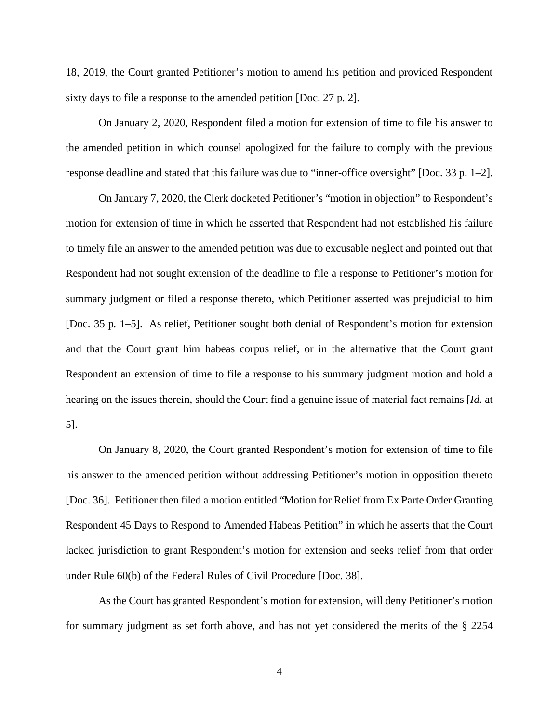18, 2019, the Court granted Petitioner's motion to amend his petition and provided Respondent sixty days to file a response to the amended petition [Doc. 27 p. 2].

On January 2, 2020, Respondent filed a motion for extension of time to file his answer to the amended petition in which counsel apologized for the failure to comply with the previous response deadline and stated that this failure was due to "inner-office oversight" [Doc. 33 p. 1–2].

On January 7, 2020, the Clerk docketed Petitioner's "motion in objection" to Respondent's motion for extension of time in which he asserted that Respondent had not established his failure to timely file an answer to the amended petition was due to excusable neglect and pointed out that Respondent had not sought extension of the deadline to file a response to Petitioner's motion for summary judgment or filed a response thereto, which Petitioner asserted was prejudicial to him [Doc. 35 p. 1–5]. As relief, Petitioner sought both denial of Respondent's motion for extension and that the Court grant him habeas corpus relief, or in the alternative that the Court grant Respondent an extension of time to file a response to his summary judgment motion and hold a hearing on the issues therein, should the Court find a genuine issue of material fact remains [*Id.* at 5].

On January 8, 2020, the Court granted Respondent's motion for extension of time to file his answer to the amended petition without addressing Petitioner's motion in opposition thereto [Doc. 36]. Petitioner then filed a motion entitled "Motion for Relief from Ex Parte Order Granting Respondent 45 Days to Respond to Amended Habeas Petition" in which he asserts that the Court lacked jurisdiction to grant Respondent's motion for extension and seeks relief from that order under Rule 60(b) of the Federal Rules of Civil Procedure [Doc. 38].

As the Court has granted Respondent's motion for extension, will deny Petitioner's motion for summary judgment as set forth above, and has not yet considered the merits of the § 2254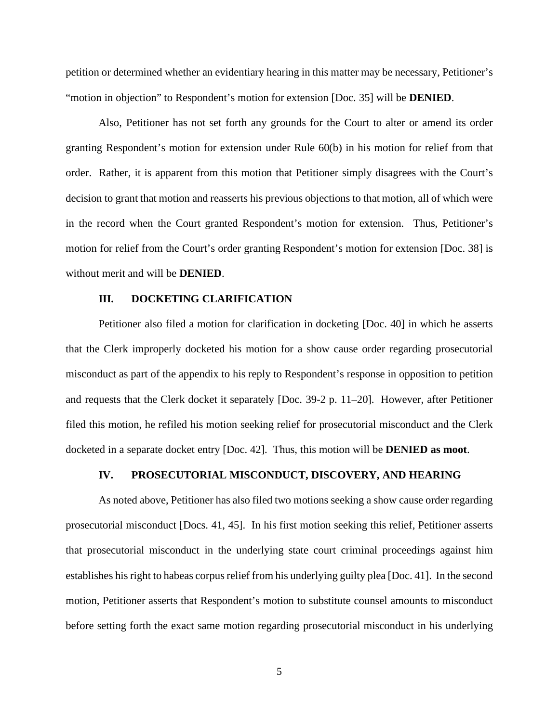petition or determined whether an evidentiary hearing in this matter may be necessary, Petitioner's "motion in objection" to Respondent's motion for extension [Doc. 35] will be **DENIED**.

Also, Petitioner has not set forth any grounds for the Court to alter or amend its order granting Respondent's motion for extension under Rule 60(b) in his motion for relief from that order. Rather, it is apparent from this motion that Petitioner simply disagrees with the Court's decision to grant that motion and reasserts his previous objections to that motion, all of which were in the record when the Court granted Respondent's motion for extension. Thus, Petitioner's motion for relief from the Court's order granting Respondent's motion for extension [Doc. 38] is without merit and will be **DENIED**.

## **III. DOCKETING CLARIFICATION**

Petitioner also filed a motion for clarification in docketing [Doc. 40] in which he asserts that the Clerk improperly docketed his motion for a show cause order regarding prosecutorial misconduct as part of the appendix to his reply to Respondent's response in opposition to petition and requests that the Clerk docket it separately [Doc. 39-2 p. 11–20]. However, after Petitioner filed this motion, he refiled his motion seeking relief for prosecutorial misconduct and the Clerk docketed in a separate docket entry [Doc. 42]. Thus, this motion will be **DENIED as moot**.

## **IV. PROSECUTORIAL MISCONDUCT, DISCOVERY, AND HEARING**

As noted above, Petitioner has also filed two motions seeking a show cause order regarding prosecutorial misconduct [Docs. 41, 45]. In his first motion seeking this relief, Petitioner asserts that prosecutorial misconduct in the underlying state court criminal proceedings against him establishes his right to habeas corpus relief from his underlying guilty plea [Doc. 41]. In the second motion, Petitioner asserts that Respondent's motion to substitute counsel amounts to misconduct before setting forth the exact same motion regarding prosecutorial misconduct in his underlying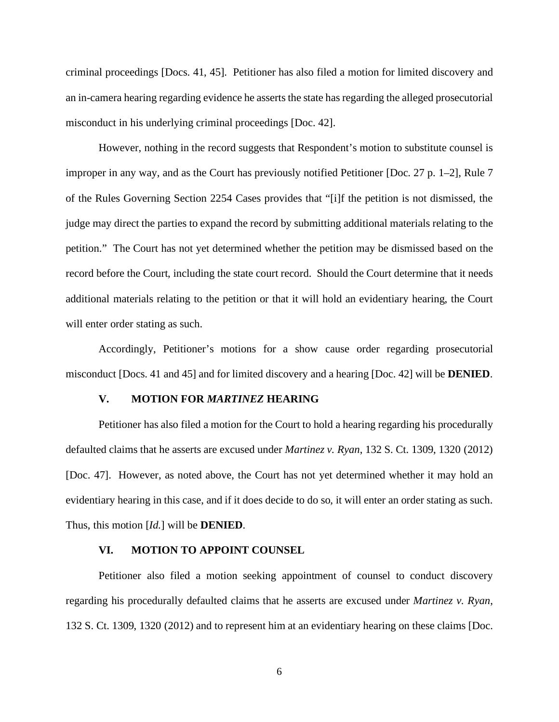criminal proceedings [Docs. 41, 45]. Petitioner has also filed a motion for limited discovery and an in-camera hearing regarding evidence he asserts the state has regarding the alleged prosecutorial misconduct in his underlying criminal proceedings [Doc. 42].

However, nothing in the record suggests that Respondent's motion to substitute counsel is improper in any way, and as the Court has previously notified Petitioner [Doc. 27 p. 1–2], Rule 7 of the Rules Governing Section 2254 Cases provides that "[i]f the petition is not dismissed, the judge may direct the parties to expand the record by submitting additional materials relating to the petition." The Court has not yet determined whether the petition may be dismissed based on the record before the Court, including the state court record. Should the Court determine that it needs additional materials relating to the petition or that it will hold an evidentiary hearing, the Court will enter order stating as such.

Accordingly, Petitioner's motions for a show cause order regarding prosecutorial misconduct [Docs. 41 and 45] and for limited discovery and a hearing [Doc. 42] will be **DENIED**.

## **V. MOTION FOR** *MARTINEZ* **HEARING**

Petitioner has also filed a motion for the Court to hold a hearing regarding his procedurally defaulted claims that he asserts are excused under *Martinez v. Ryan*, 132 S. Ct. 1309, 1320 (2012) [Doc. 47]. However, as noted above, the Court has not yet determined whether it may hold an evidentiary hearing in this case, and if it does decide to do so, it will enter an order stating as such. Thus, this motion [*Id.*] will be **DENIED**.

## **VI. MOTION TO APPOINT COUNSEL**

Petitioner also filed a motion seeking appointment of counsel to conduct discovery regarding his procedurally defaulted claims that he asserts are excused under *Martinez v. Ryan*, 132 S. Ct. 1309, 1320 (2012) and to represent him at an evidentiary hearing on these claims [Doc.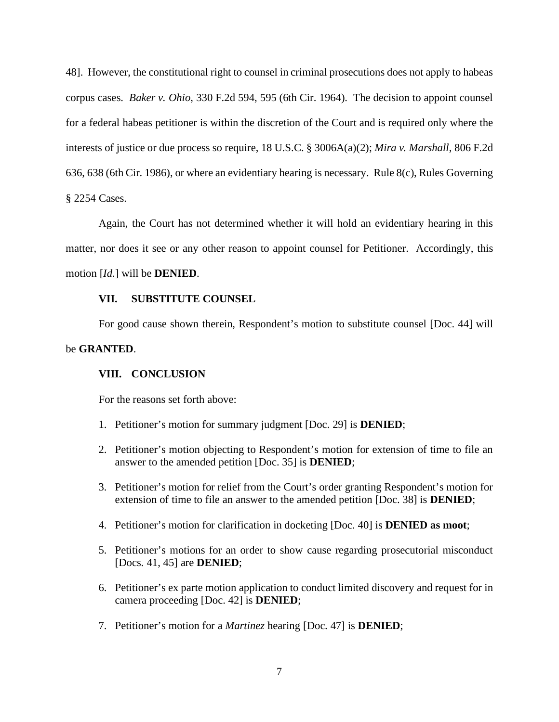48]. However, the constitutional right to counsel in criminal prosecutions does not apply to habeas corpus cases. *Baker v. Ohio*, 330 F.2d 594, 595 (6th Cir. 1964). The decision to appoint counsel for a federal habeas petitioner is within the discretion of the Court and is required only where the interests of justice or due process so require, 18 U.S.C. § 3006A(a)(2); *Mira v. Marshall*, 806 F.2d 636, 638 (6th Cir. 1986), or where an evidentiary hearing is necessary. Rule 8(c), Rules Governing § 2254 Cases.

Again, the Court has not determined whether it will hold an evidentiary hearing in this matter, nor does it see or any other reason to appoint counsel for Petitioner. Accordingly, this motion [*Id.*] will be **DENIED**.

## **VII. SUBSTITUTE COUNSEL**

For good cause shown therein, Respondent's motion to substitute counsel [Doc. 44] will

## be **GRANTED**.

### **VIII. CONCLUSION**

For the reasons set forth above:

- 1. Petitioner's motion for summary judgment [Doc. 29] is **DENIED**;
- 2. Petitioner's motion objecting to Respondent's motion for extension of time to file an answer to the amended petition [Doc. 35] is **DENIED**;
- 3. Petitioner's motion for relief from the Court's order granting Respondent's motion for extension of time to file an answer to the amended petition [Doc. 38] is **DENIED**;
- 4. Petitioner's motion for clarification in docketing [Doc. 40] is **DENIED as moot**;
- 5. Petitioner's motions for an order to show cause regarding prosecutorial misconduct [Docs. 41, 45] are **DENIED**;
- 6. Petitioner's ex parte motion application to conduct limited discovery and request for in camera proceeding [Doc. 42] is **DENIED**;
- 7. Petitioner's motion for a *Martinez* hearing [Doc. 47] is **DENIED**;